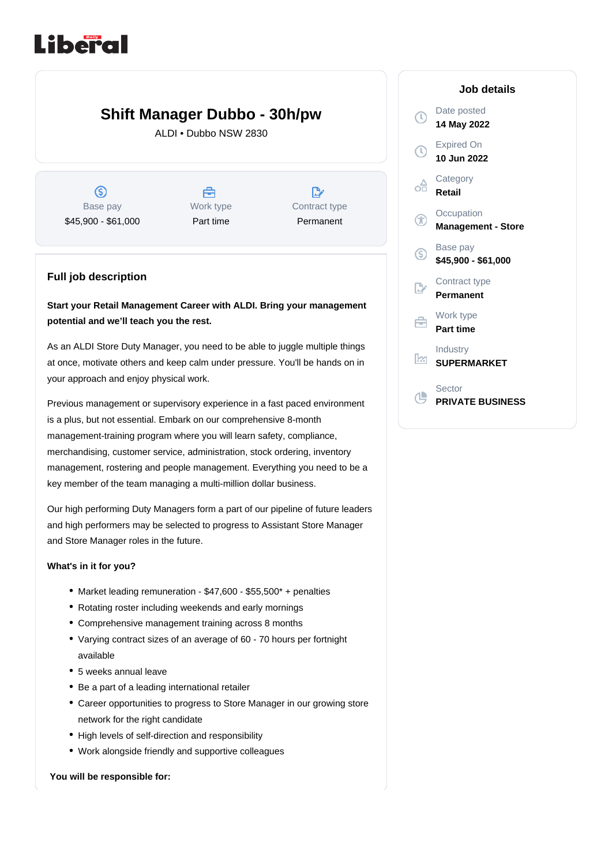# Liberal

# **Shift Manager Dubbo - 30h/pw**

ALDI • Dubbo NSW 2830

 $\circledS$ Base pay \$45,900 - \$61,000

A Work type Part time

 $\mathbb{R}^n$ Contract type Permanent

### **Full job description**

## **Start your Retail Management Career with ALDI. Bring your management potential and we'll teach you the rest.**

As an ALDI Store Duty Manager, you need to be able to juggle multiple things at once, motivate others and keep calm under pressure. You'll be hands on in your approach and enjoy physical work.

Previous management or supervisory experience in a fast paced environment is a plus, but not essential. Embark on our comprehensive 8-month management-training program where you will learn safety, compliance, merchandising, customer service, administration, stock ordering, inventory management, rostering and people management. Everything you need to be a key member of the team managing a multi-million dollar business.

Our high performing Duty Managers form a part of our pipeline of future leaders and high performers may be selected to progress to Assistant Store Manager and Store Manager roles in the future.

#### **What's in it for you?**

- Market leading remuneration \$47,600 \$55,500\* + penalties
- Rotating roster including weekends and early mornings
- Comprehensive management training across 8 months
- Varying contract sizes of an average of 60 70 hours per fortnight available
- 5 weeks annual leave
- Be a part of a leading international retailer
- Career opportunities to progress to Store Manager in our growing store network for the right candidate
- High levels of self-direction and responsibility
- Work alongside friendly and supportive colleagues

#### **You will be responsible for:**

#### **Job details** Date posted  $\mathbb{C}$ **14 May 2022** Expired On  $\left(\mathbb{C}\right)$ **10 Jun 2022 Category** ക് **Retail Occupation**  $^{\circledR}$ **Management - Store** Base pay (\$) **\$45,900 - \$61,000** Contract type **Permanent** Work type 启 **Part time** Industry <u>k</u> **SUPERMARKET** Sector

(L **PRIVATE BUSINESS**